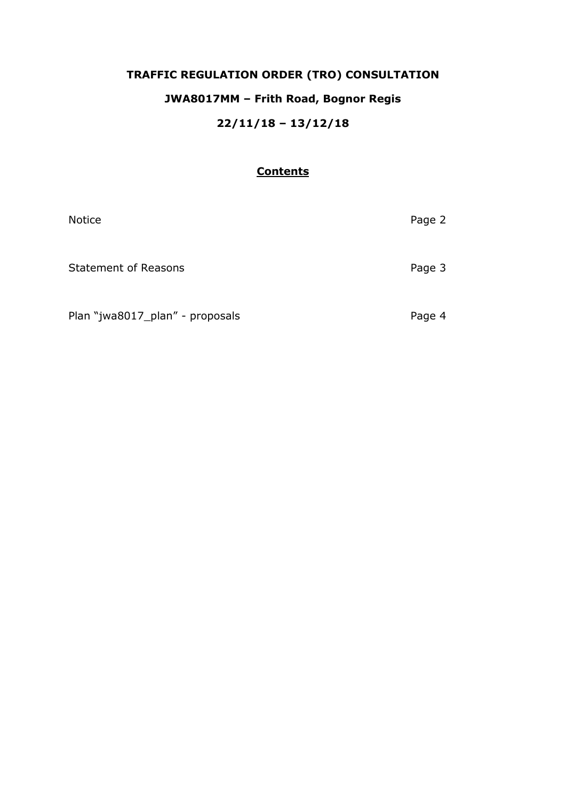# **TRAFFIC REGULATION ORDER (TRO) CONSULTATION JWA8017MM – Frith Road, Bognor Regis 22/11/18 – 13/12/18**

## **Contents**

| <b>Notice</b>                   | Page 2 |
|---------------------------------|--------|
| <b>Statement of Reasons</b>     | Page 3 |
| Plan "jwa8017_plan" - proposals | Page 4 |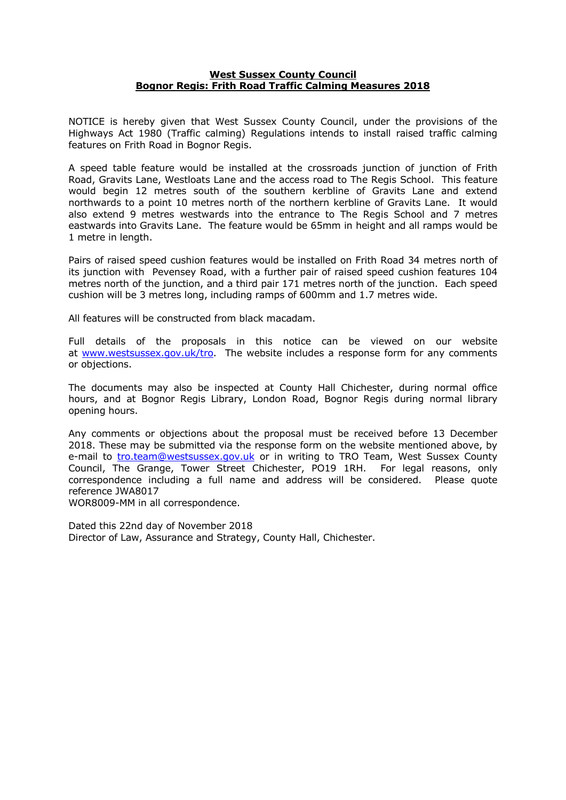### **West Sussex County Council Bognor Regis: Frith Road Traffic Calming Measures 2018**

NOTICE is hereby given that West Sussex County Council, under the provisions of the Highways Act 1980 (Traffic calming) Regulations intends to install raised traffic calming features on Frith Road in Bognor Regis.

A speed table feature would be installed at the crossroads junction of junction of Frith Road, Gravits Lane, Westloats Lane and the access road to The Regis School. This feature would begin 12 metres south of the southern kerbline of Gravits Lane and extend northwards to a point 10 metres north of the northern kerbline of Gravits Lane. It would also extend 9 metres westwards into the entrance to The Regis School and 7 metres eastwards into Gravits Lane. The feature would be 65mm in height and all ramps would be 1 metre in length.

Pairs of raised speed cushion features would be installed on Frith Road 34 metres north of its junction with Pevensey Road, with a further pair of raised speed cushion features 104 metres north of the junction, and a third pair 171 metres north of the junction. Each speed cushion will be 3 metres long, including ramps of 600mm and 1.7 metres wide.

All features will be constructed from black macadam.

Full details of the proposals in this notice can be viewed on our website at [www.westsussex.gov.uk/tro.](http://www.westsussex.gov.uk/tro) The website includes a response form for any comments or objections.

The documents may also be inspected at County Hall Chichester, during normal office hours, and at Bognor Regis Library, London Road, Bognor Regis during normal library opening hours.

Any comments or objections about the proposal must be received before 13 December 2018. These may be submitted via the response form on the website mentioned above, by e-mail to [tro.team@westsussex.gov.uk](mailto:tro.team@westsussex.gov.uk) or in writing to TRO Team, West Sussex County Council, The Grange, Tower Street Chichester, PO19 1RH. For legal reasons, only correspondence including a full name and address will be considered. Please quote reference JWA8017

WOR8009-MM in all correspondence.

Dated this 22nd day of November 2018 Director of Law, Assurance and Strategy, County Hall, Chichester.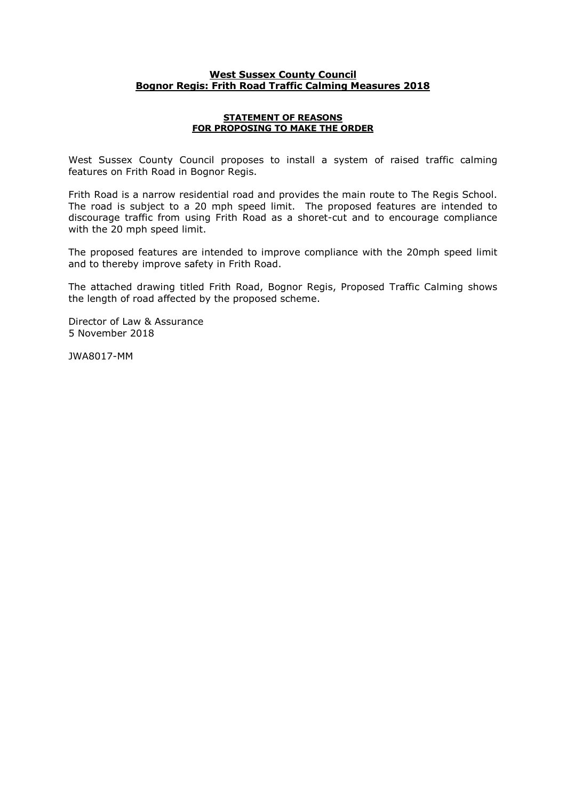### **West Sussex County Council Bognor Regis: Frith Road Traffic Calming Measures 2018**

#### **STATEMENT OF REASONS FOR PROPOSING TO MAKE THE ORDER**

West Sussex County Council proposes to install a system of raised traffic calming features on Frith Road in Bognor Regis.

Frith Road is a narrow residential road and provides the main route to The Regis School. The road is subject to a 20 mph speed limit. The proposed features are intended to discourage traffic from using Frith Road as a shoret-cut and to encourage compliance with the 20 mph speed limit.

The proposed features are intended to improve compliance with the 20mph speed limit and to thereby improve safety in Frith Road.

The attached drawing titled Frith Road, Bognor Regis, Proposed Traffic Calming shows the length of road affected by the proposed scheme.

Director of Law & Assurance 5 November 2018

JWA8017-MM